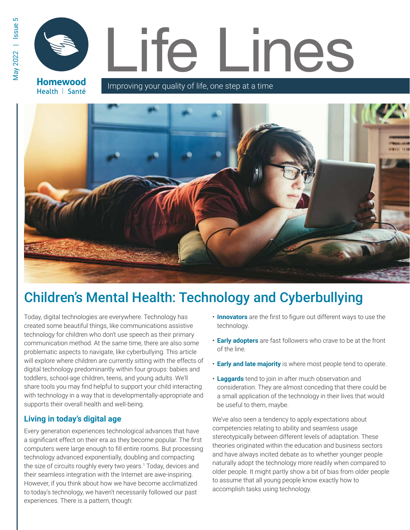**Homewood** Health | Santé

# Life Lines

Improving your quality of life, one step at a time



# Children's Mental Health: Technology and Cyberbullying

Today, digital technologies are everywhere. Technology has created some beautiful things, like communications assistive technology for children who don't use speech as their primary communication method. At the same time, there are also some problematic aspects to navigate, like cyberbullying. This article will explore where children are currently sitting with the effects of digital technology predominantly within four groups: babies and toddlers, school-age children, teens, and young adults. We'll share tools you may find helpful to support your child interacting with technology in a way that is developmentally-appropriate and supports their overall health and well-being.

## **Living in today's digital age**

Every generation experiences technological advances that have a significant effect on their era as they become popular. The first computers were large enough to fill entire rooms. But processing technology advanced exponentially, doubling and compacting the size of circuits roughly every two years.<sup>1</sup> Today, devices and their seamless integration with the Internet are awe-inspiring. However, if you think about how we have become acclimatized to today's technology, we haven't necessarily followed our past experiences. There is a pattern, though:

- **Innovators** are the first to figure out different ways to use the technology.
- **Early adopters** are fast followers who crave to be at the front of the line.
- **Early and late majority** is where most people tend to operate.
- **Laggards** tend to join in after much observation and consideration. They are almost conceding that there could be a small application of the technology in their lives that would be useful to them, maybe.

We've also seen a tendency to apply expectations about competencies relating to ability and seamless usage stereotypically between different levels of adaptation. These theories originated within the education and business sectors and have always incited debate as to whether younger people naturally adopt the technology more readily when compared to older people. It might partly show a bit of bias from older people to assume that all young people know exactly how to accomplish tasks using technology.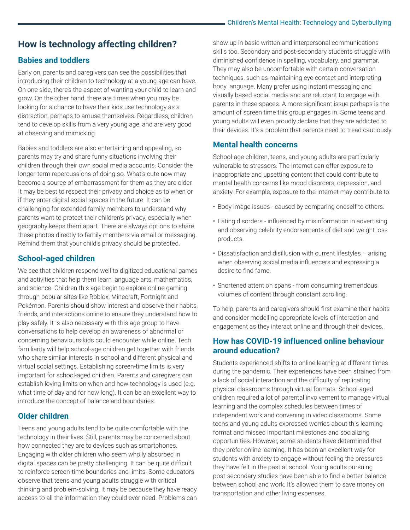# **How is technology affecting children?**

#### **Babies and toddlers**

Early on, parents and caregivers can see the possibilities that introducing their children to technology at a young age can have. On one side, there's the aspect of wanting your child to learn and grow. On the other hand, there are times when you may be looking for a chance to have their kids use technology as a distraction, perhaps to amuse themselves. Regardless, children tend to develop skills from a very young age, and are very good at observing and mimicking.

Babies and toddlers are also entertaining and appealing, so parents may try and share funny situations involving their children through their own social media accounts. Consider the longer-term repercussions of doing so. What's cute now may become a source of embarrassment for them as they are older. It may be best to respect their privacy and choice as to when or if they enter digital social spaces in the future. It can be challenging for extended family members to understand why parents want to protect their children's privacy, especially when geography keeps them apart. There are always options to share these photos directly to family members via email or messaging. Remind them that your child's privacy should be protected.

#### **School-aged children**

We see that children respond well to digitized educational games and activities that help them learn language arts, mathematics, and science. Children this age begin to explore online gaming through popular sites like Roblox, Minecraft, Fortnight and Pokémon. Parents should show interest and observe their habits, friends, and interactions online to ensure they understand how to play safely. It is also necessary with this age group to have conversations to help develop an awareness of abnormal or concerning behaviours kids could encounter while online. Tech familiarity will help school-age children get together with friends who share similar interests in school and different physical and virtual social settings. Establishing screen-time limits is very important for school-aged children. Parents and caregivers can establish loving limits on when and how technology is used (e.g. what time of day and for how long). It can be an excellent way to introduce the concept of balance and boundaries.

#### **Older children**

Teens and young adults tend to be quite comfortable with the technology in their lives. Still, parents may be concerned about how connected they are to devices such as smartphones. Engaging with older children who seem wholly absorbed in digital spaces can be pretty challenging. It can be quite difficult to reinforce screen-time boundaries and limits. Some educators observe that teens and young adults struggle with critical thinking and problem-solving. It may be because they have ready access to all the information they could ever need. Problems can

diminished co nfidence in spelling, vocabulary, and grammar. They may also be uncomfortable with certain conversation techniques, su ch as maintaining eye contact and interpreting body language . Many prefer using instant messaging and visually based social media and are reluctant to engage with parents in thes e spaces. A more significant issue perhaps is the show up in basic written and interpersonal communications skills too. Secondary and post-secondary students struggle with amount of screen time this group engages in. Some teens and young adults will even proudly declare that they are addicted to their devices. It's a problem that parents need to tread cautiously.

#### **Mental health concerns**

School-age children, teens, and young adults are particularly vulnerable to stressors. The Internet can offer exposure to inappropriate and upsetting content that could contribute to mental health concerns like mood disorders, depression, and anxiety. For example, exposure to the Internet may contribute to:

- Body image issues caused by comparing oneself to others.
- Eating disorders influenced by misinformation in advertising and observing celebrity endorsements of diet and weight loss products.
- Dissatisfaction and disillusion with current lifestyles arising when observing social media influencers and expressing a desire to find fame.
- Shortened attention spans from consuming tremendous volumes of content through constant scrolling.

To help, parents and caregivers should first examine their habits and consider modelling appropriate levels of interaction and engagement as they interact online and through their devices.

#### **How has COVID-19 influenced online behaviour around education?**

Students experienced shifts to online learning at different times during the pandemic. Their experiences have been strained from a lack of social interaction and the difficulty of replicating physical classrooms through virtual formats. School-aged children required a lot of parental involvement to manage virtual learning and the complex schedules between times of independent work and convening in video classrooms. Some teens and young adults expressed worries about this learning format and missed important milestones and socializing opportunities. However, some students have determined that they prefer online learning. It has been an excellent way for students with anxiety to engage without feeling the pressures they have felt in the past at school. Young adults pursuing post-secondary studies have been able to find a better balance between school and work. It's allowed them to save money on transportation and other living expenses.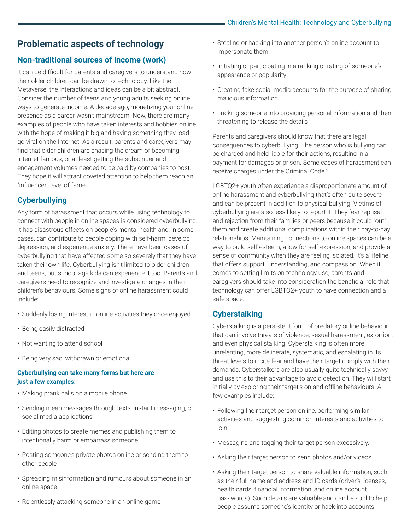# **Problematic aspects of technology**

# **Non-traditional sources of income (work)**

It can be difficult for parents and caregivers to understand how their older children can be drawn to technology. Like the Metaverse, the interactions and ideas can be a bit abstract. Consider the number of teens and young adults seeking online ways to generate income. A decade ago, monetizing your online presence as a career wasn't mainstream. Now, there are many examples of people who have taken interests and hobbies online with the hope of making it big and having something they load go viral on the Internet. As a result, parents and caregivers may find that older children are chasing the dream of becoming Internet famous, or at least getting the subscriber and engagement volumes needed to be paid by companies to post. They hope it will attract coveted attention to help them reach an "influencer" level of fame.

# **Cyberbullying**

Any form of harassment that occurs while using technology to connect with people in online spaces is considered cyberbullying. It has disastrous effects on people's mental health and, in some cases, can contribute to people coping with self-harm, develop depression, and experience anxiety. There have been cases of cyberbullying that have affected some so severely that they have taken their own life. Cyberbullying isn't limited to older children and teens, but school-age kids can experience it too. Parents and caregivers need to recognize and investigate changes in their children's behaviours. Some signs of online harassment could include:

- Suddenly losing interest in online activities they once enjoyed
- Being easily distracted
- Not wanting to attend school
- Being very sad, withdrawn or emotional

#### **Cyberbullying can take many forms but here are just a few examples:**

- Making prank calls on a mobile phone
- Sending mean messages through texts, instant messaging, or social media applications
- Editing photos to create memes and publishing them to intentionally harm or embarrass someone
- Posting someone's private photos online or sending them to other people
- Spreading misinformation and rumours about someone in an online space
- Relentlessly attacking someone in an online game
- Stealing or hacking into another person's online account to impersonate them
- Initiating or participating in a ranking or rating of someone's appearance or popularity
- Creating fake social media accounts for the purpose of sharing malicious information
- Tricking someone into providing personal information and then threatening to release the details

Parents and caregivers should know that there are legal consequences to cyberbullying. The person who is bullying can be charged and held liable for their actions, resulting in a payment for damages or prison. Some cases of harassment can receive charges under the Criminal Code.2

LGBTQ2+ youth often experience a disproportionate amount of online harassment and cyberbullying that's often quite severe and can be present in addition to physical bullying. Victims of cyberbullying are also less likely to report it. They fear reprisal and rejection from their families or peers because it could "out" them and create additional complications within their day-to-day relationships. Maintaining connections to online spaces can be a way to build self-esteem, allow for self-expression, and provide a sense of community when they are feeling isolated. It's a lifeline that offers support, understanding, and compassion. When it comes to setting limits on technology use, parents and caregivers should take into consideration the beneficial role that technology can offer LGBTQ2+ youth to have connection and a safe space.

## **Cyberstalking**

Cyberstalking is a persistent form of predatory online behaviour that can involve threats of violence, sexual harassment, extortion, and even physical stalking. Cyberstalking is often more unrelenting, more deliberate, systematic, and escalating in its threat levels to incite fear and have their target comply with their demands. Cyberstalkers are also usually quite technically savvy and use this to their advantage to avoid detection. They will start initially by exploring their target's on and offline behaviours. A few examples include:

- Following their target person online, performing similar activities and suggesting common interests and activities to join.
- Messaging and tagging their target person excessively.
- Asking their target person to send photos and/or videos.
- Asking their target person to share valuable information, such as their full name and address and ID cards (driver's licenses, health cards, financial information, and online account passwords). Such details are valuable and can be sold to help people assume someone's identity or hack into accounts.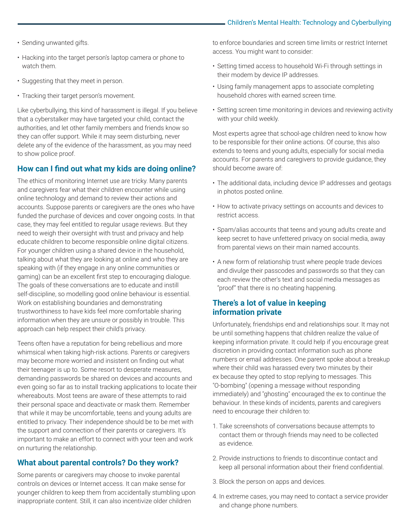#### Children's Mental Health: Technology and Cyberbullying

- Sending unwanted gifts.
- Hacking into the target person's laptop camera or phone to watch them.
- Suggesting that they meet in person.
- Tracking their target person's movement.

Like cyberbullying, this kind of harassment is illegal. If you believe that a cyberstalker may have targeted your child, contact the authorities, and let other family members and friends know so they can offer support. While it may seem disturbing, never delete any of the evidence of the harassment, as you may need to show police proof.

#### **How can I find out what my kids are doing online?**

The ethics of monitoring Internet use are tricky. Many parents and caregivers fear what their children encounter while using online technology and demand to review their actions and accounts. Suppose parents or caregivers are the ones who have funded the purchase of devices and cover ongoing costs. In that case, they may feel entitled to regular usage reviews. But they need to weigh their oversight with trust and privacy and help educate children to become responsible online digital citizens. For younger children using a shared device in the household, talking about what they are looking at online and who they are speaking with (if they engage in any online communities or gaming) can be an excellent first step to encouraging dialogue. The goals of these conversations are to educate and instill self-discipline, so modelling good online behaviour is essential. Work on establishing boundaries and demonstrating trustworthiness to have kids feel more comfortable sharing information when they are unsure or possibly in trouble. This approach can help respect their child's privacy.

Teens often have a reputation for being rebellious and more whimsical when taking high-risk actions. Parents or caregivers may become more worried and insistent on finding out what their teenager is up to. Some resort to desperate measures, demanding passwords be shared on devices and accounts and even going so far as to install tracking applications to locate their whereabouts. Most teens are aware of these attempts to raid their personal space and deactivate or mask them. Remember that while it may be uncomfortable, teens and young adults are entitled to privacy. Their independence should be to be met with the support and connection of their parents or caregivers. It's important to make an effort to connect with your teen and work on nurturing the relationship.

#### **What about parental controls? Do they work?**

Some parents or caregivers may choose to invoke parental controls on devices or Internet access. It can make sense for younger children to keep them from accidentally stumbling upon inappropriate content. Still, it can also incentivize older children

to enforce boundaries and screen time limits or restrict Internet access. You might want to consider:

- Setting timed access to household Wi-Fi through settings in their modem by device IP addresses.
- Using family management apps to associate completing household chores with earned screen time.
- Setting screen time monitoring in devices and reviewing activity with your child weekly.

Most experts agree that school-age children need to know how to be responsible for their online actions. Of course, this also extends to teens and young adults, especially for social media accounts. For parents and caregivers to provide guidance, they should become aware of:

- The additional data, including device IP addresses and geotags in photos posted online.
- How to activate privacy settings on accounts and devices to restrict access.
- Spam/alias accounts that teens and young adults create and keep secret to have unfettered privacy on social media, away from parental views on their main named accounts.
- A new form of relationship trust where people trade devices and divulge their passcodes and passwords so that they can each review the other's text and social media messages as "proof" that there is no cheating happening.

#### **There's a lot of value in keeping information private**

Unfortunately, friendships end and relationships sour. It may not be until something happens that children realize the value of keeping information private. It could help if you encourage great discretion in providing contact information such as phone numbers or email addresses. One parent spoke about a breakup where their child was harassed every two minutes by their ex because they opted to stop replying to messages. This "O-bombing" (opening a message without responding immediately) and "ghosting" encouraged the ex to continue the behaviour. In these kinds of incidents, parents and caregivers need to encourage their children to:

- 1. Take screenshots of conversations because attempts to contact them or through friends may need to be collected as evidence.
- 2. Provide instructions to friends to discontinue contact and keep all personal information about their friend confidential.
- 3. Block the person on apps and devices.
- 4. In extreme cases, you may need to contact a service provider and change phone numbers.